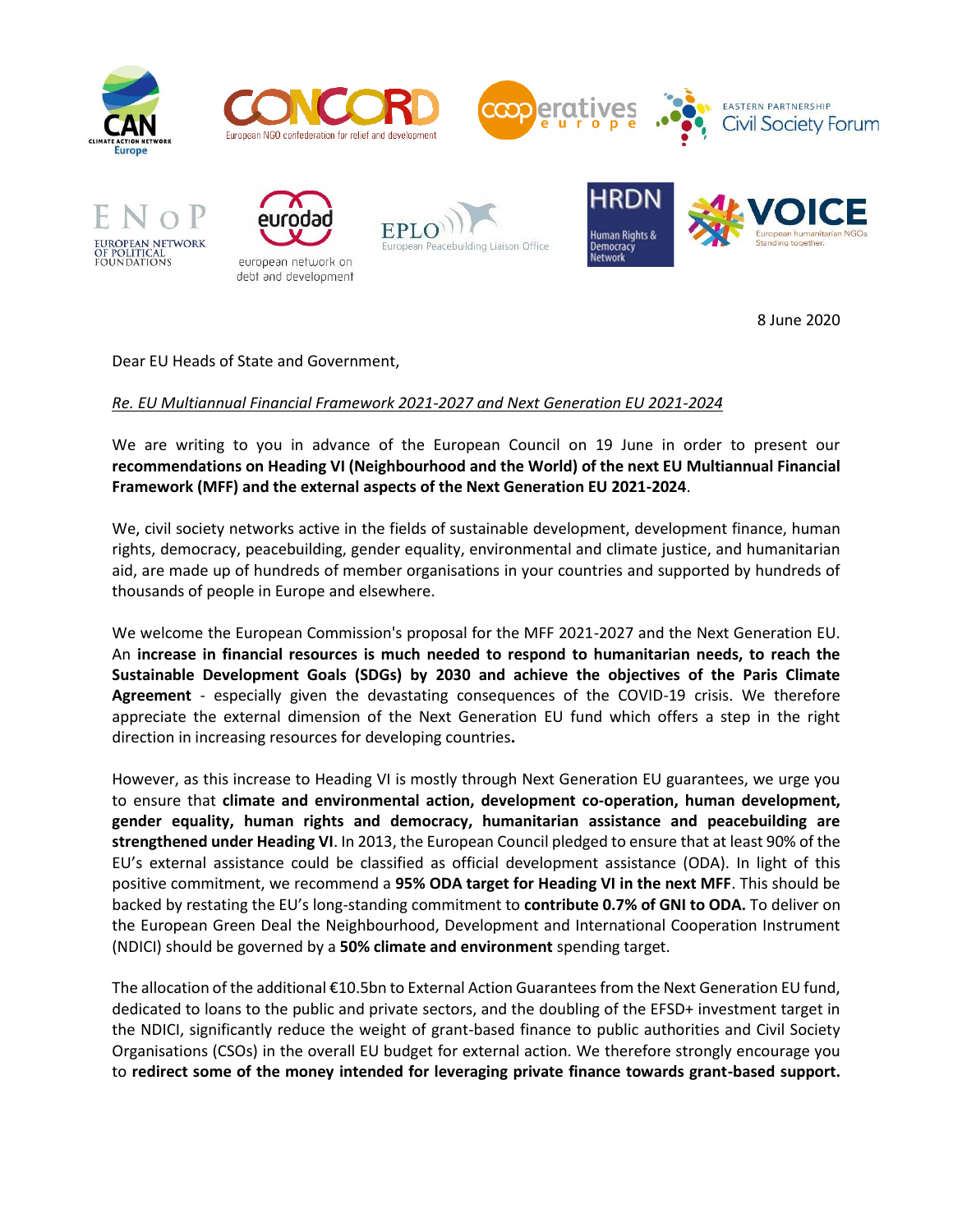

8 June 2020

Dear EU Heads of State and Government,

## *Re. EU Multiannual Financial Framework 2021-2027 and Next Generation EU 2021-2024*

We are writing to you in advance of the European Council on 19 June in order to present our **recommendations on Heading VI (Neighbourhood and the World) of the next EU Multiannual Financial Framework (MFF) and the external aspects of the Next Generation EU 2021-2024**.

We, civil society networks active in the fields of sustainable development, development finance, human rights, democracy, peacebuilding, gender equality, environmental and climate justice, and humanitarian aid, are made up of hundreds of member organisations in your countries and supported by hundreds of thousands of people in Europe and elsewhere.

We welcome the European Commission's proposal for the MFF 2021-2027 and the Next Generation EU. An **increase in financial resources is much needed to respond to humanitarian needs, to reach the Sustainable Development Goals (SDGs) by 2030 and achieve the objectives of the Paris Climate Agreement** - especially given the devastating consequences of the COVID-19 crisis. We therefore appreciate the external dimension of the Next Generation EU fund which offers a step in the right direction in increasing resources for developing countries**.** 

However, as this increase to Heading VI is mostly through Next Generation EU guarantees, we urge you to ensure that **climate and environmental action, development co-operation, human development, gender equality, human rights and democracy, humanitarian assistance and peacebuilding are strengthened under Heading VI**. In 2013, the European Council pledged to ensure that at least 90% of the EU's external assistance could be classified as official development assistance (ODA). In light of this positive commitment, we recommend a **95% ODA target for Heading VI in the next MFF**. This should be backed by restating the EU's long-standing commitment to **contribute 0.7% of GNI to ODA.** To deliver on the European Green Deal the Neighbourhood, Development and International Cooperation Instrument (NDICI) should be governed by a **50% climate and environment** spending target.

The allocation of the additional €10.5bn to External Action Guarantees from the Next Generation EU fund, dedicated to loans to the public and private sectors, and the doubling of the EFSD+ investment target in the NDICI, significantly reduce the weight of grant-based finance to public authorities and Civil Society Organisations (CSOs) in the overall EU budget for external action. We therefore strongly encourage you to **redirect some of the money intended for leveraging private finance towards grant-based support.**